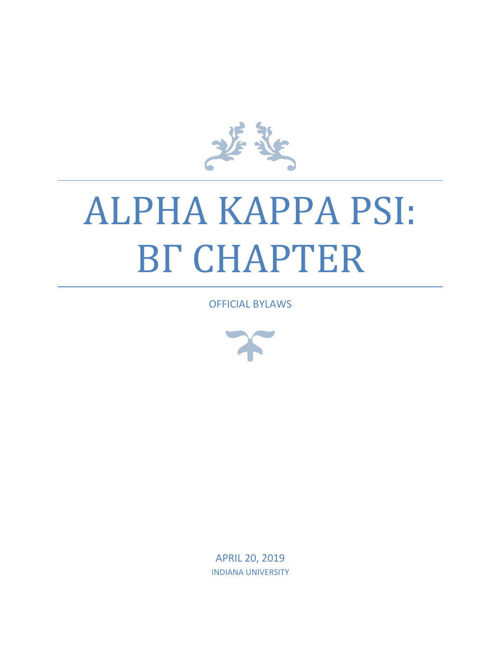

# ALPHA KAPPA PSI: BΓ CHAPTER

OFFICIAL BYLAWS



APRIL 20, 2019 INDIANA UNIVERSITY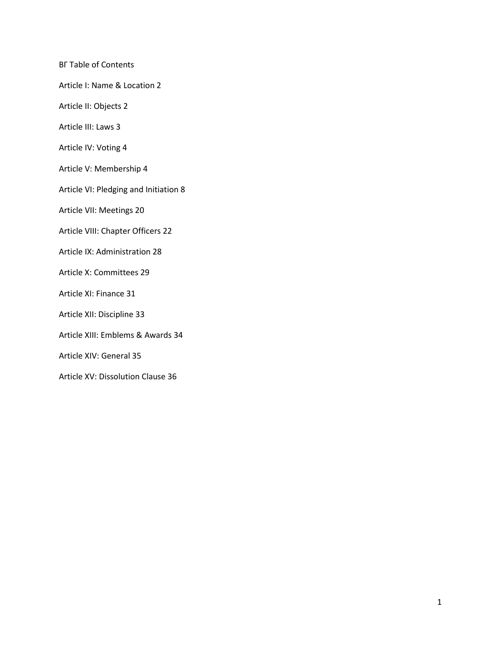ΒΓ Table of Contents

Article I: Name & Location 2

- Article II: Objects 2
- Article III: Laws 3
- Article IV: Voting 4
- Article V: Membership 4
- Article VI: Pledging and Initiation 8
- Article VII: Meetings 20
- Article VIII: Chapter Officers 22
- Article IX: Administration 28
- Article X: Committees 29
- Article XI: Finance 31
- Article XII: Discipline 33
- Article XIII: Emblems & Awards 34
- Article XIV: General 35
- Article XV: Dissolution Clause 36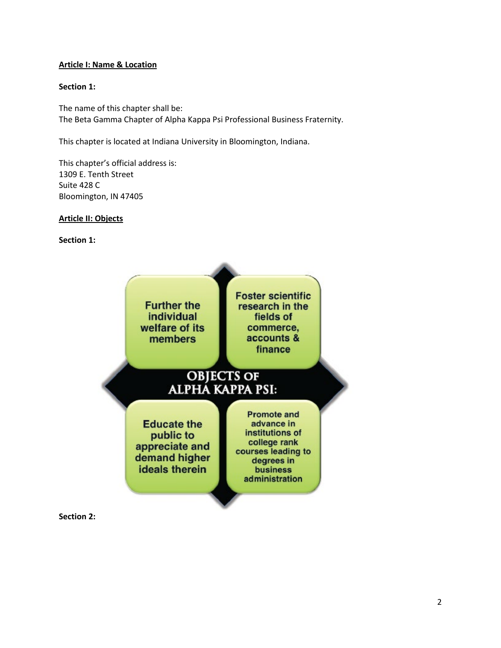#### **Article I: Name & Location**

#### **Section 1:**

The name of this chapter shall be: The Beta Gamma Chapter of Alpha Kappa Psi Professional Business Fraternity.

This chapter is located at Indiana University in Bloomington, Indiana.

This chapter's official address is: 1309 E. Tenth Street Suite 428 C Bloomington, IN 47405

# **Article II: Objects**

# **Section 1:**



**Section 2:**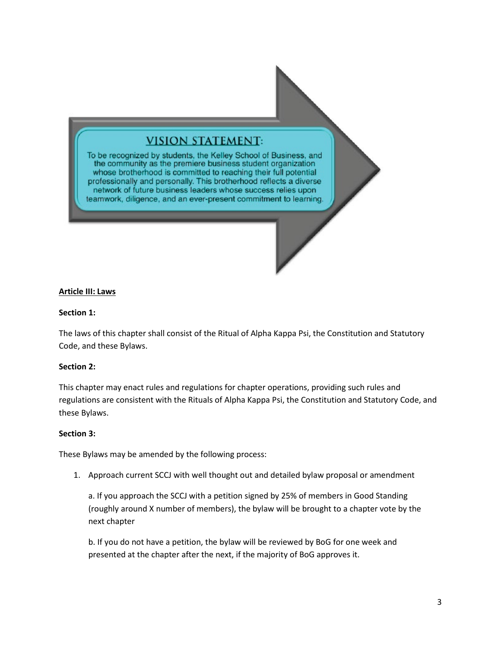# **VISION STATEMENT:**

To be recognized by students, the Kelley School of Business, and the community as the premiere business student organization whose brotherhood is committed to reaching their full potential professionally and personally. This brotherhood reflects a diverse network of future business leaders whose success relies upon teamwork, diligence, and an ever-present commitment to learning.

#### **Article III: Laws**

#### **Section 1:**

The laws of this chapter shall consist of the Ritual of Alpha Kappa Psi, the Constitution and Statutory Code, and these Bylaws.

#### **Section 2:**

This chapter may enact rules and regulations for chapter operations, providing such rules and regulations are consistent with the Rituals of Alpha Kappa Psi, the Constitution and Statutory Code, and these Bylaws.

#### **Section 3:**

These Bylaws may be amended by the following process:

1. Approach current SCCJ with well thought out and detailed bylaw proposal or amendment

a. If you approach the SCCJ with a petition signed by 25% of members in Good Standing (roughly around X number of members), the bylaw will be brought to a chapter vote by the next chapter

b. If you do not have a petition, the bylaw will be reviewed by BoG for one week and presented at the chapter after the next, if the majority of BoG approves it.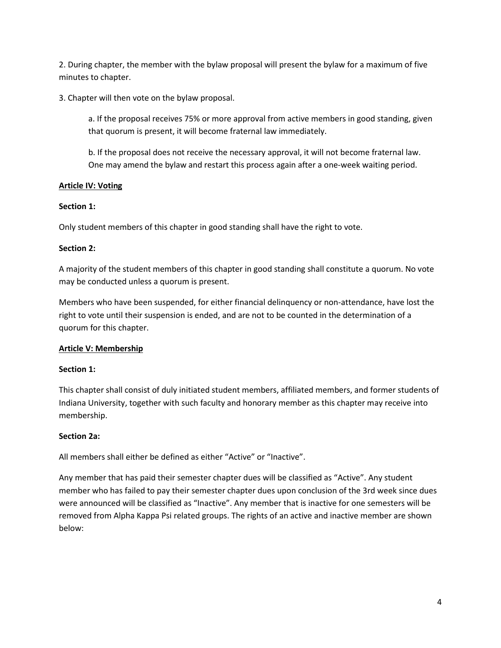2. During chapter, the member with the bylaw proposal will present the bylaw for a maximum of five minutes to chapter.

3. Chapter will then vote on the bylaw proposal.

a. If the proposal receives 75% or more approval from active members in good standing, given that quorum is present, it will become fraternal law immediately.

b. If the proposal does not receive the necessary approval, it will not become fraternal law. One may amend the bylaw and restart this process again after a one-week waiting period.

# **Article IV: Voting**

# **Section 1:**

Only student members of this chapter in good standing shall have the right to vote.

# **Section 2:**

A majority of the student members of this chapter in good standing shall constitute a quorum. No vote may be conducted unless a quorum is present.

Members who have been suspended, for either financial delinquency or non-attendance, have lost the right to vote until their suspension is ended, and are not to be counted in the determination of a quorum for this chapter.

# **Article V: Membership**

# **Section 1:**

This chapter shall consist of duly initiated student members, affiliated members, and former students of Indiana University, together with such faculty and honorary member as this chapter may receive into membership.

# **Section 2a:**

All members shall either be defined as either "Active" or "Inactive".

Any member that has paid their semester chapter dues will be classified as "Active". Any student member who has failed to pay their semester chapter dues upon conclusion of the 3rd week since dues were announced will be classified as "Inactive". Any member that is inactive for one semesters will be removed from Alpha Kappa Psi related groups. The rights of an active and inactive member are shown below: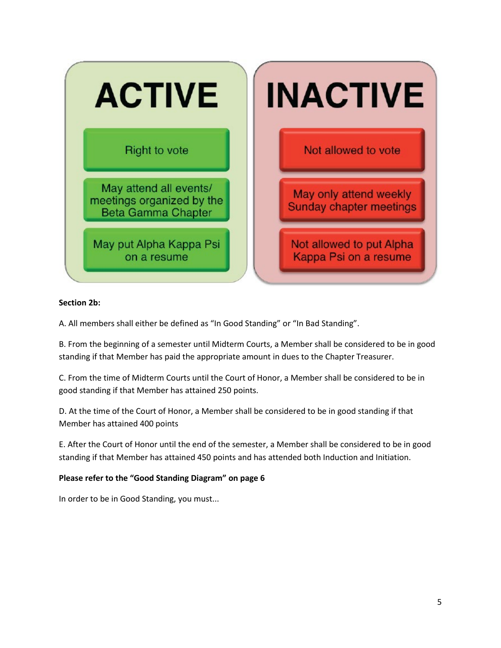

# **Section 2b:**

A. All members shall either be defined as "In Good Standing" or "In Bad Standing".

B. From the beginning of a semester until Midterm Courts, a Member shall be considered to be in good standing if that Member has paid the appropriate amount in dues to the Chapter Treasurer.

C. From the time of Midterm Courts until the Court of Honor, a Member shall be considered to be in good standing if that Member has attained 250 points.

D. At the time of the Court of Honor, a Member shall be considered to be in good standing if that Member has attained 400 points

E. After the Court of Honor until the end of the semester, a Member shall be considered to be in good standing if that Member has attained 450 points and has attended both Induction and Initiation.

#### **Please refer to the "Good Standing Diagram" on page 6**

In order to be in Good Standing, you must...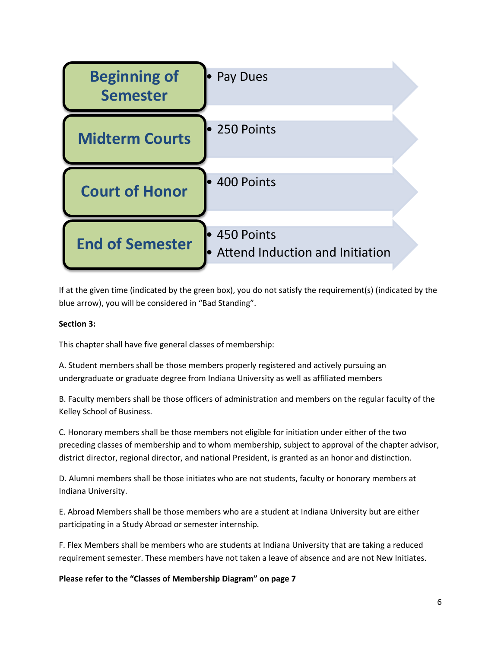

If at the given time (indicated by the green box), you do not satisfy the requirement(s) (indicated by the blue arrow), you will be considered in "Bad Standing".

# **Section 3:**

This chapter shall have five general classes of membership:

A. Student members shall be those members properly registered and actively pursuing an undergraduate or graduate degree from Indiana University as well as affiliated members

B. Faculty members shall be those officers of administration and members on the regular faculty of the Kelley School of Business.

C. Honorary members shall be those members not eligible for initiation under either of the two preceding classes of membership and to whom membership, subject to approval of the chapter advisor, district director, regional director, and national President, is granted as an honor and distinction.

D. Alumni members shall be those initiates who are not students, faculty or honorary members at Indiana University.

E. Abroad Members shall be those members who are a student at Indiana University but are either participating in a Study Abroad or semester internship.

F. Flex Members shall be members who are students at Indiana University that are taking a reduced requirement semester. These members have not taken a leave of absence and are not New Initiates.

**Please refer to the "Classes of Membership Diagram" on page 7**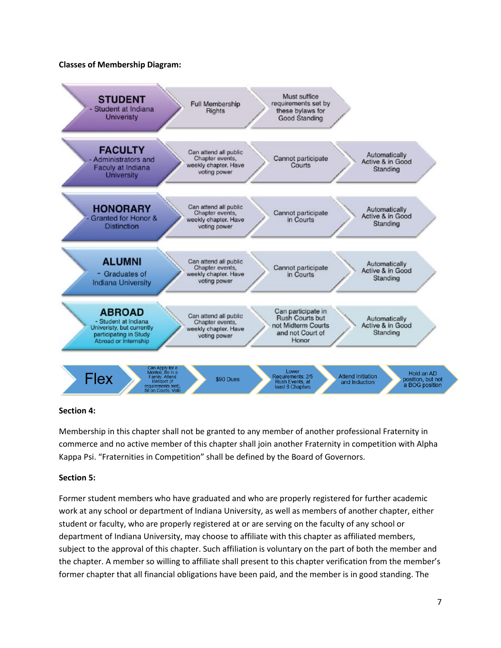#### **Classes of Membership Diagram:**



#### **Section 4:**

Membership in this chapter shall not be granted to any member of another professional Fraternity in commerce and no active member of this chapter shall join another Fraternity in competition with Alpha Kappa Psi. "Fraternities in Competition" shall be defined by the Board of Governors.

#### **Section 5:**

Former student members who have graduated and who are properly registered for further academic work at any school or department of Indiana University, as well as members of another chapter, either student or faculty, who are properly registered at or are serving on the faculty of any school or department of Indiana University, may choose to affiliate with this chapter as affiliated members, subject to the approval of this chapter. Such affiliation is voluntary on the part of both the member and the chapter. A member so willing to affiliate shall present to this chapter verification from the member's former chapter that all financial obligations have been paid, and the member is in good standing. The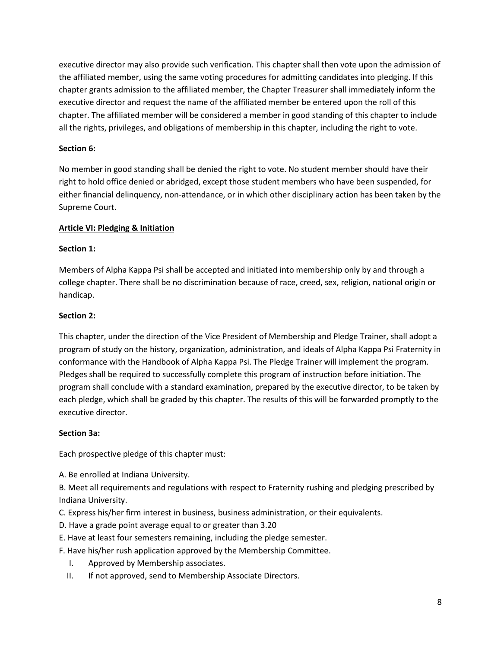executive director may also provide such verification. This chapter shall then vote upon the admission of the affiliated member, using the same voting procedures for admitting candidates into pledging. If this chapter grants admission to the affiliated member, the Chapter Treasurer shall immediately inform the executive director and request the name of the affiliated member be entered upon the roll of this chapter. The affiliated member will be considered a member in good standing of this chapter to include all the rights, privileges, and obligations of membership in this chapter, including the right to vote.

# **Section 6:**

No member in good standing shall be denied the right to vote. No student member should have their right to hold office denied or abridged, except those student members who have been suspended, for either financial delinquency, non-attendance, or in which other disciplinary action has been taken by the Supreme Court.

# **Article VI: Pledging & Initiation**

#### **Section 1:**

Members of Alpha Kappa Psi shall be accepted and initiated into membership only by and through a college chapter. There shall be no discrimination because of race, creed, sex, religion, national origin or handicap.

# **Section 2:**

This chapter, under the direction of the Vice President of Membership and Pledge Trainer, shall adopt a program of study on the history, organization, administration, and ideals of Alpha Kappa Psi Fraternity in conformance with the Handbook of Alpha Kappa Psi. The Pledge Trainer will implement the program. Pledges shall be required to successfully complete this program of instruction before initiation. The program shall conclude with a standard examination, prepared by the executive director, to be taken by each pledge, which shall be graded by this chapter. The results of this will be forwarded promptly to the executive director.

#### **Section 3a:**

Each prospective pledge of this chapter must:

A. Be enrolled at Indiana University.

B. Meet all requirements and regulations with respect to Fraternity rushing and pledging prescribed by Indiana University.

- C. Express his/her firm interest in business, business administration, or their equivalents.
- D. Have a grade point average equal to or greater than 3.20
- E. Have at least four semesters remaining, including the pledge semester.
- F. Have his/her rush application approved by the Membership Committee.
	- I. Approved by Membership associates.
	- II. If not approved, send to Membership Associate Directors.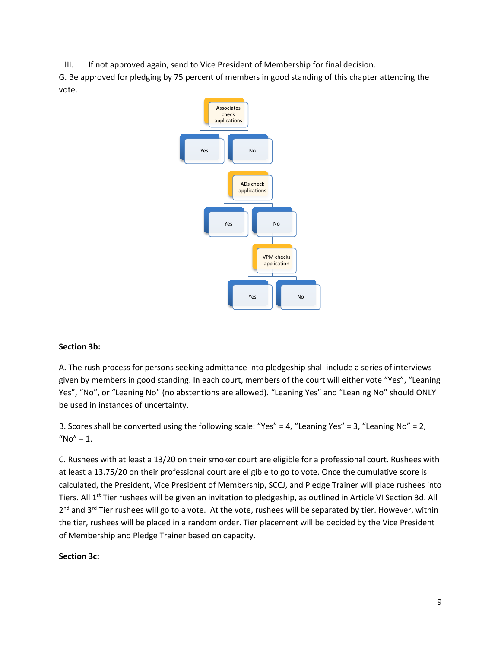III. If not approved again, send to Vice President of Membership for final decision.

G. Be approved for pledging by 75 percent of members in good standing of this chapter attending the vote.



# **Section 3b:**

A. The rush process for persons seeking admittance into pledgeship shall include a series of interviews given by members in good standing. In each court, members of the court will either vote "Yes", "Leaning Yes", "No", or "Leaning No" (no abstentions are allowed). "Leaning Yes" and "Leaning No" should ONLY be used in instances of uncertainty.

B. Scores shall be converted using the following scale: "Yes" = 4, "Leaning Yes" = 3, "Leaning No" = 2, " $No" = 1.$ 

C. Rushees with at least a 13/20 on their smoker court are eligible for a professional court. Rushees with at least a 13.75/20 on their professional court are eligible to go to vote. Once the cumulative score is calculated, the President, Vice President of Membership, SCCJ, and Pledge Trainer will place rushees into Tiers. All 1<sup>st</sup> Tier rushees will be given an invitation to pledgeship, as outlined in Article VI Section 3d. All 2<sup>nd</sup> and 3<sup>rd</sup> Tier rushees will go to a vote. At the vote, rushees will be separated by tier. However, within the tier, rushees will be placed in a random order. Tier placement will be decided by the Vice President of Membership and Pledge Trainer based on capacity.

#### **Section 3c:**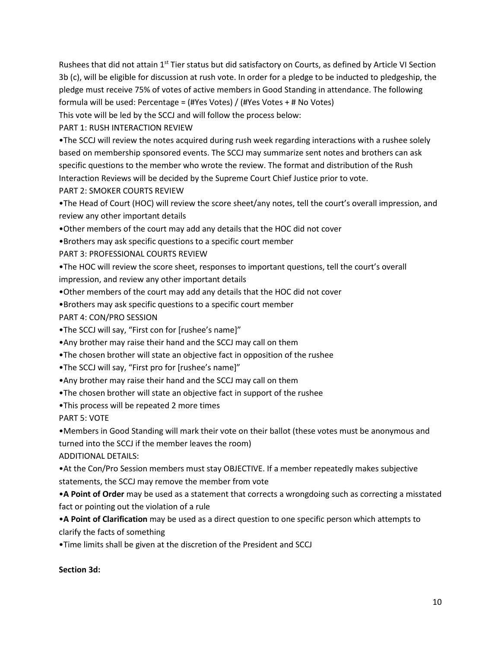Rushees that did not attain  $1<sup>st</sup>$  Tier status but did satisfactory on Courts, as defined by Article VI Section 3b (c), will be eligible for discussion at rush vote. In order for a pledge to be inducted to pledgeship, the pledge must receive 75% of votes of active members in Good Standing in attendance. The following formula will be used: Percentage = (#Yes Votes) / (#Yes Votes + # No Votes)

This vote will be led by the SCCJ and will follow the process below:

PART 1: RUSH INTERACTION REVIEW

•The SCCJ will review the notes acquired during rush week regarding interactions with a rushee solely based on membership sponsored events. The SCCJ may summarize sent notes and brothers can ask specific questions to the member who wrote the review. The format and distribution of the Rush Interaction Reviews will be decided by the Supreme Court Chief Justice prior to vote.

PART 2: SMOKER COURTS REVIEW

•The Head of Court (HOC) will review the score sheet/any notes, tell the court's overall impression, and review any other important details

•Other members of the court may add any details that the HOC did not cover

•Brothers may ask specific questions to a specific court member

PART 3: PROFESSIONAL COURTS REVIEW

•The HOC will review the score sheet, responses to important questions, tell the court's overall impression, and review any other important details

•Other members of the court may add any details that the HOC did not cover

•Brothers may ask specific questions to a specific court member

PART 4: CON/PRO SESSION

•The SCCJ will say, "First con for [rushee's name]"

•Any brother may raise their hand and the SCCJ may call on them

•The chosen brother will state an objective fact in opposition of the rushee

•The SCCJ will say, "First pro for [rushee's name]"

•Any brother may raise their hand and the SCCJ may call on them

•The chosen brother will state an objective fact in support of the rushee

•This process will be repeated 2 more times

PART 5: VOTE

•Members in Good Standing will mark their vote on their ballot (these votes must be anonymous and turned into the SCCJ if the member leaves the room)

ADDITIONAL DETAILS:

•At the Con/Pro Session members must stay OBJECTIVE. If a member repeatedly makes subjective statements, the SCCJ may remove the member from vote

•**A Point of Order** may be used as a statement that corrects a wrongdoing such as correcting a misstated fact or pointing out the violation of a rule

•**A Point of Clarification** may be used as a direct question to one specific person which attempts to clarify the facts of something

•Time limits shall be given at the discretion of the President and SCCJ

#### **Section 3d:**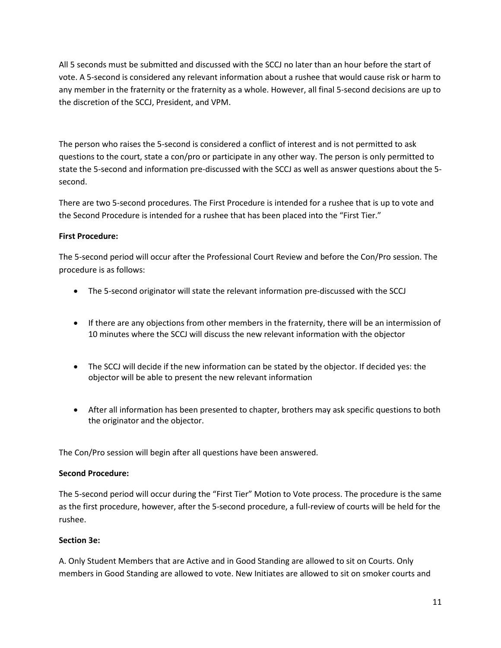All 5 seconds must be submitted and discussed with the SCCJ no later than an hour before the start of vote. A 5-second is considered any relevant information about a rushee that would cause risk or harm to any member in the fraternity or the fraternity as a whole. However, all final 5-second decisions are up to the discretion of the SCCJ, President, and VPM.

The person who raises the 5-second is considered a conflict of interest and is not permitted to ask questions to the court, state a con/pro or participate in any other way. The person is only permitted to state the 5-second and information pre-discussed with the SCCJ as well as answer questions about the 5 second.

There are two 5-second procedures. The First Procedure is intended for a rushee that is up to vote and the Second Procedure is intended for a rushee that has been placed into the "First Tier."

# **First Procedure:**

The 5-second period will occur after the Professional Court Review and before the Con/Pro session. The procedure is as follows:

- The 5-second originator will state the relevant information pre-discussed with the SCCJ
- If there are any objections from other members in the fraternity, there will be an intermission of 10 minutes where the SCCJ will discuss the new relevant information with the objector
- The SCCJ will decide if the new information can be stated by the objector. If decided yes: the objector will be able to present the new relevant information
- After all information has been presented to chapter, brothers may ask specific questions to both the originator and the objector.

The Con/Pro session will begin after all questions have been answered.

#### **Second Procedure:**

The 5-second period will occur during the "First Tier" Motion to Vote process. The procedure is the same as the first procedure, however, after the 5-second procedure, a full-review of courts will be held for the rushee.

#### **Section 3e:**

A. Only Student Members that are Active and in Good Standing are allowed to sit on Courts. Only members in Good Standing are allowed to vote. New Initiates are allowed to sit on smoker courts and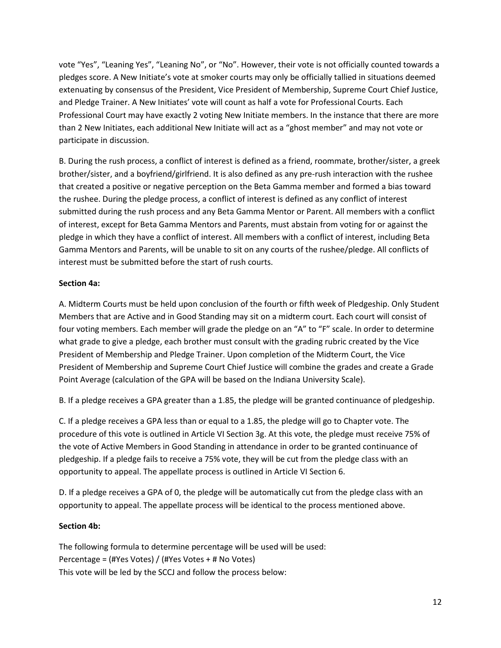vote "Yes", "Leaning Yes", "Leaning No", or "No". However, their vote is not officially counted towards a pledges score. A New Initiate's vote at smoker courts may only be officially tallied in situations deemed extenuating by consensus of the President, Vice President of Membership, Supreme Court Chief Justice, and Pledge Trainer. A New Initiates' vote will count as half a vote for Professional Courts. Each Professional Court may have exactly 2 voting New Initiate members. In the instance that there are more than 2 New Initiates, each additional New Initiate will act as a "ghost member" and may not vote or participate in discussion.

B. During the rush process, a conflict of interest is defined as a friend, roommate, brother/sister, a greek brother/sister, and a boyfriend/girlfriend. It is also defined as any pre-rush interaction with the rushee that created a positive or negative perception on the Beta Gamma member and formed a bias toward the rushee. During the pledge process, a conflict of interest is defined as any conflict of interest submitted during the rush process and any Beta Gamma Mentor or Parent. All members with a conflict of interest, except for Beta Gamma Mentors and Parents, must abstain from voting for or against the pledge in which they have a conflict of interest. All members with a conflict of interest, including Beta Gamma Mentors and Parents, will be unable to sit on any courts of the rushee/pledge. All conflicts of interest must be submitted before the start of rush courts.

# **Section 4a:**

A. Midterm Courts must be held upon conclusion of the fourth or fifth week of Pledgeship. Only Student Members that are Active and in Good Standing may sit on a midterm court. Each court will consist of four voting members. Each member will grade the pledge on an "A" to "F" scale. In order to determine what grade to give a pledge, each brother must consult with the grading rubric created by the Vice President of Membership and Pledge Trainer. Upon completion of the Midterm Court, the Vice President of Membership and Supreme Court Chief Justice will combine the grades and create a Grade Point Average (calculation of the GPA will be based on the Indiana University Scale).

B. If a pledge receives a GPA greater than a 1.85, the pledge will be granted continuance of pledgeship.

C. If a pledge receives a GPA less than or equal to a 1.85, the pledge will go to Chapter vote. The procedure of this vote is outlined in Article VI Section 3g. At this vote, the pledge must receive 75% of the vote of Active Members in Good Standing in attendance in order to be granted continuance of pledgeship. If a pledge fails to receive a 75% vote, they will be cut from the pledge class with an opportunity to appeal. The appellate process is outlined in Article VI Section 6.

D. If a pledge receives a GPA of 0, the pledge will be automatically cut from the pledge class with an opportunity to appeal. The appellate process will be identical to the process mentioned above.

# **Section 4b:**

The following formula to determine percentage will be used will be used: Percentage = (#Yes Votes) / (#Yes Votes + # No Votes) This vote will be led by the SCCJ and follow the process below: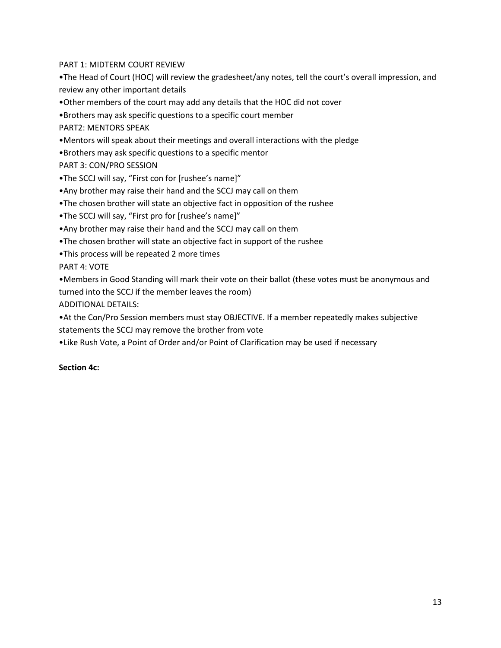PART 1: MIDTERM COURT REVIEW

•The Head of Court (HOC) will review the gradesheet/any notes, tell the court's overall impression, and review any other important details

•Other members of the court may add any details that the HOC did not cover

•Brothers may ask specific questions to a specific court member

PART2: MENTORS SPEAK

•Mentors will speak about their meetings and overall interactions with the pledge

•Brothers may ask specific questions to a specific mentor

PART 3: CON/PRO SESSION

- •The SCCJ will say, "First con for [rushee's name]"
- •Any brother may raise their hand and the SCCJ may call on them
- •The chosen brother will state an objective fact in opposition of the rushee
- •The SCCJ will say, "First pro for [rushee's name]"
- •Any brother may raise their hand and the SCCJ may call on them
- •The chosen brother will state an objective fact in support of the rushee
- •This process will be repeated 2 more times

PART 4: VOTE

•Members in Good Standing will mark their vote on their ballot (these votes must be anonymous and turned into the SCCJ if the member leaves the room)

ADDITIONAL DETAILS:

•At the Con/Pro Session members must stay OBJECTIVE. If a member repeatedly makes subjective statements the SCCJ may remove the brother from vote

•Like Rush Vote, a Point of Order and/or Point of Clarification may be used if necessary

#### **Section 4c:**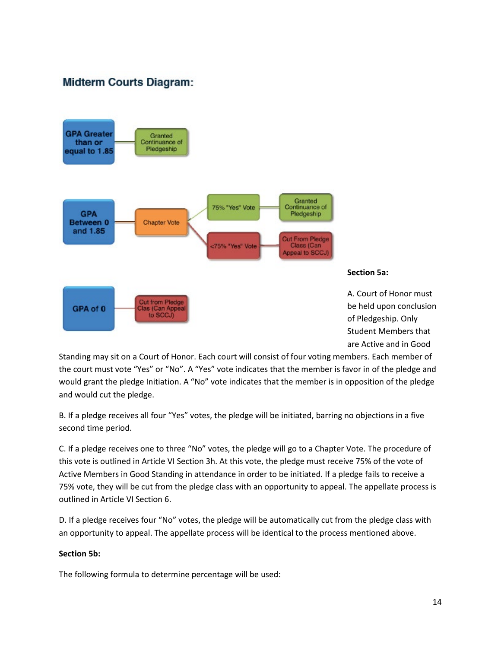# **Midterm Courts Diagram:**





A. Court of Honor must be held upon conclusion of Pledgeship. Only Student Members that are Active and in Good

Standing may sit on a Court of Honor. Each court will consist of four voting members. Each member of the court must vote "Yes" or "No". A "Yes" vote indicates that the member is favor in of the pledge and would grant the pledge Initiation. A "No" vote indicates that the member is in opposition of the pledge and would cut the pledge.

B. If a pledge receives all four "Yes" votes, the pledge will be initiated, barring no objections in a five second time period.

C. If a pledge receives one to three "No" votes, the pledge will go to a Chapter Vote. The procedure of this vote is outlined in Article VI Section 3h. At this vote, the pledge must receive 75% of the vote of Active Members in Good Standing in attendance in order to be initiated. If a pledge fails to receive a 75% vote, they will be cut from the pledge class with an opportunity to appeal. The appellate process is outlined in Article VI Section 6.

D. If a pledge receives four "No" votes, the pledge will be automatically cut from the pledge class with an opportunity to appeal. The appellate process will be identical to the process mentioned above.

# **Section 5b:**

The following formula to determine percentage will be used: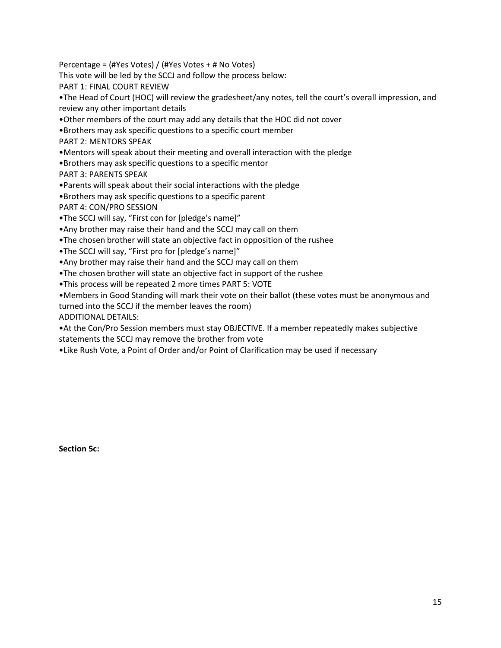Percentage = (#Yes Votes) / (#Yes Votes + # No Votes)

This vote will be led by the SCCJ and follow the process below:

PART 1: FINAL COURT REVIEW

•The Head of Court (HOC) will review the gradesheet/any notes, tell the court's overall impression, and review any other important details

•Other members of the court may add any details that the HOC did not cover

•Brothers may ask specific questions to a specific court member

PART 2: MENTORS SPEAK

•Mentors will speak about their meeting and overall interaction with the pledge

•Brothers may ask specific questions to a specific mentor

PART 3: PARENTS SPEAK

•Parents will speak about their social interactions with the pledge

•Brothers may ask specific questions to a specific parent

PART 4: CON/PRO SESSION

•The SCCJ will say, "First con for [pledge's name]"

•Any brother may raise their hand and the SCCJ may call on them

•The chosen brother will state an objective fact in opposition of the rushee

•The SCCJ will say, "First pro for [pledge's name]"

•Any brother may raise their hand and the SCCJ may call on them

•The chosen brother will state an objective fact in support of the rushee

•This process will be repeated 2 more times PART 5: VOTE

•Members in Good Standing will mark their vote on their ballot (these votes must be anonymous and turned into the SCCJ if the member leaves the room)

ADDITIONAL DETAILS:

•At the Con/Pro Session members must stay OBJECTIVE. If a member repeatedly makes subjective statements the SCCJ may remove the brother from vote

•Like Rush Vote, a Point of Order and/or Point of Clarification may be used if necessary

**Section 5c:**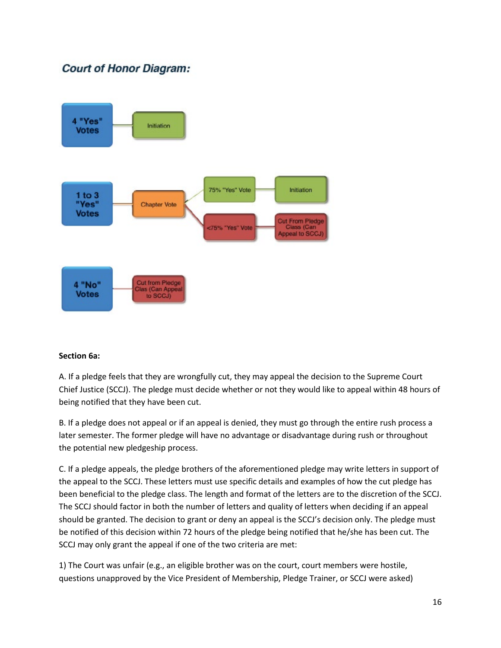# **Court of Honor Diagram:**



# **Section 6a:**

A. If a pledge feels that they are wrongfully cut, they may appeal the decision to the Supreme Court Chief Justice (SCCJ). The pledge must decide whether or not they would like to appeal within 48 hours of being notified that they have been cut.

B. If a pledge does not appeal or if an appeal is denied, they must go through the entire rush process a later semester. The former pledge will have no advantage or disadvantage during rush or throughout the potential new pledgeship process.

C. If a pledge appeals, the pledge brothers of the aforementioned pledge may write letters in support of the appeal to the SCCJ. These letters must use specific details and examples of how the cut pledge has been beneficial to the pledge class. The length and format of the letters are to the discretion of the SCCJ. The SCCJ should factor in both the number of letters and quality of letters when deciding if an appeal should be granted. The decision to grant or deny an appeal is the SCCJ's decision only. The pledge must be notified of this decision within 72 hours of the pledge being notified that he/she has been cut. The SCCJ may only grant the appeal if one of the two criteria are met:

1) The Court was unfair (e.g., an eligible brother was on the court, court members were hostile, questions unapproved by the Vice President of Membership, Pledge Trainer, or SCCJ were asked)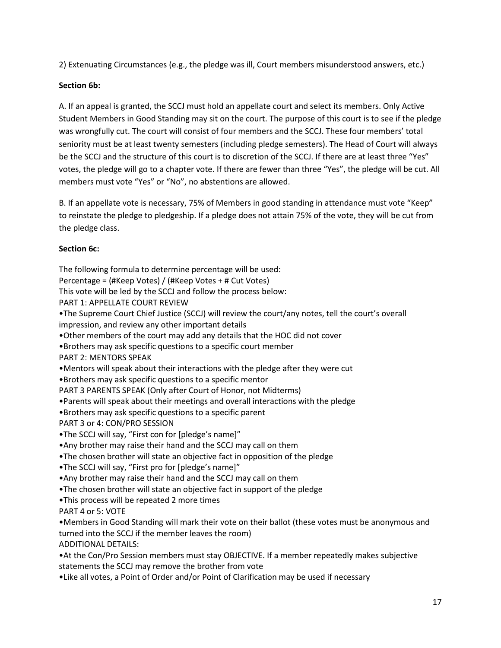2) Extenuating Circumstances (e.g., the pledge was ill, Court members misunderstood answers, etc.)

# **Section 6b:**

A. If an appeal is granted, the SCCJ must hold an appellate court and select its members. Only Active Student Members in Good Standing may sit on the court. The purpose of this court is to see if the pledge was wrongfully cut. The court will consist of four members and the SCCJ. These four members' total seniority must be at least twenty semesters (including pledge semesters). The Head of Court will always be the SCCJ and the structure of this court is to discretion of the SCCJ. If there are at least three "Yes" votes, the pledge will go to a chapter vote. If there are fewer than three "Yes", the pledge will be cut. All members must vote "Yes" or "No", no abstentions are allowed.

B. If an appellate vote is necessary, 75% of Members in good standing in attendance must vote "Keep" to reinstate the pledge to pledgeship. If a pledge does not attain 75% of the vote, they will be cut from the pledge class.

# **Section 6c:**

The following formula to determine percentage will be used:

Percentage = (#Keep Votes) / (#Keep Votes + # Cut Votes)

This vote will be led by the SCCJ and follow the process below:

PART 1: APPELLATE COURT REVIEW

•The Supreme Court Chief Justice (SCCJ) will review the court/any notes, tell the court's overall impression, and review any other important details

•Other members of the court may add any details that the HOC did not cover

•Brothers may ask specific questions to a specific court member

PART 2: MENTORS SPEAK

•Mentors will speak about their interactions with the pledge after they were cut

•Brothers may ask specific questions to a specific mentor

PART 3 PARENTS SPEAK (Only after Court of Honor, not Midterms)

•Parents will speak about their meetings and overall interactions with the pledge

•Brothers may ask specific questions to a specific parent

PART 3 or 4: CON/PRO SESSION

•The SCCJ will say, "First con for [pledge's name]"

•Any brother may raise their hand and the SCCJ may call on them

•The chosen brother will state an objective fact in opposition of the pledge

•The SCCJ will say, "First pro for [pledge's name]"

•Any brother may raise their hand and the SCCJ may call on them

•The chosen brother will state an objective fact in support of the pledge

•This process will be repeated 2 more times

PART 4 or 5: VOTE

•Members in Good Standing will mark their vote on their ballot (these votes must be anonymous and turned into the SCCJ if the member leaves the room)

ADDITIONAL DETAILS:

•At the Con/Pro Session members must stay OBJECTIVE. If a member repeatedly makes subjective statements the SCCJ may remove the brother from vote

•Like all votes, a Point of Order and/or Point of Clarification may be used if necessary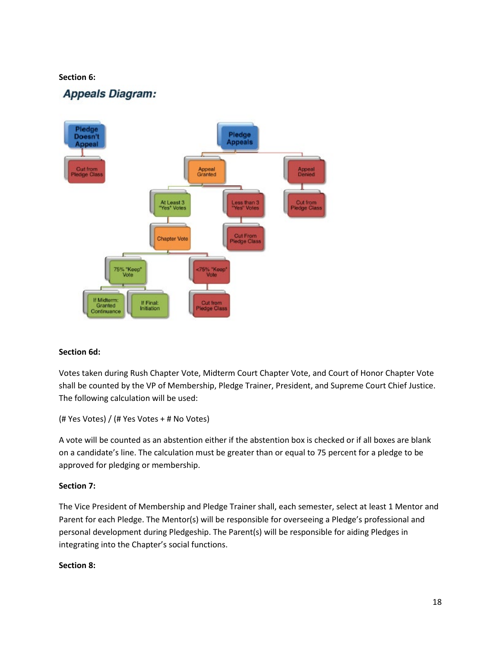#### **Section 6:**

# **Appeals Diagram:**



#### **Section 6d:**

Votes taken during Rush Chapter Vote, Midterm Court Chapter Vote, and Court of Honor Chapter Vote shall be counted by the VP of Membership, Pledge Trainer, President, and Supreme Court Chief Justice. The following calculation will be used:

```
(# Yes Votes) / (# Yes Votes + # No Votes)
```
A vote will be counted as an abstention either if the abstention box is checked or if all boxes are blank on a candidate's line. The calculation must be greater than or equal to 75 percent for a pledge to be approved for pledging or membership.

#### **Section 7:**

The Vice President of Membership and Pledge Trainer shall, each semester, select at least 1 Mentor and Parent for each Pledge. The Mentor(s) will be responsible for overseeing a Pledge's professional and personal development during Pledgeship. The Parent(s) will be responsible for aiding Pledges in integrating into the Chapter's social functions.

#### **Section 8:**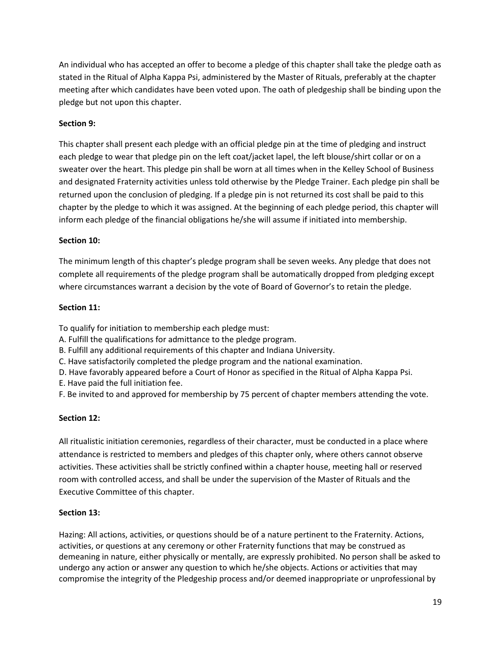An individual who has accepted an offer to become a pledge of this chapter shall take the pledge oath as stated in the Ritual of Alpha Kappa Psi, administered by the Master of Rituals, preferably at the chapter meeting after which candidates have been voted upon. The oath of pledgeship shall be binding upon the pledge but not upon this chapter.

# **Section 9:**

This chapter shall present each pledge with an official pledge pin at the time of pledging and instruct each pledge to wear that pledge pin on the left coat/jacket lapel, the left blouse/shirt collar or on a sweater over the heart. This pledge pin shall be worn at all times when in the Kelley School of Business and designated Fraternity activities unless told otherwise by the Pledge Trainer. Each pledge pin shall be returned upon the conclusion of pledging. If a pledge pin is not returned its cost shall be paid to this chapter by the pledge to which it was assigned. At the beginning of each pledge period, this chapter will inform each pledge of the financial obligations he/she will assume if initiated into membership.

# **Section 10:**

The minimum length of this chapter's pledge program shall be seven weeks. Any pledge that does not complete all requirements of the pledge program shall be automatically dropped from pledging except where circumstances warrant a decision by the vote of Board of Governor's to retain the pledge.

#### **Section 11:**

To qualify for initiation to membership each pledge must:

- A. Fulfill the qualifications for admittance to the pledge program.
- B. Fulfill any additional requirements of this chapter and Indiana University.
- C. Have satisfactorily completed the pledge program and the national examination.
- D. Have favorably appeared before a Court of Honor as specified in the Ritual of Alpha Kappa Psi.
- E. Have paid the full initiation fee.
- F. Be invited to and approved for membership by 75 percent of chapter members attending the vote.

# **Section 12:**

All ritualistic initiation ceremonies, regardless of their character, must be conducted in a place where attendance is restricted to members and pledges of this chapter only, where others cannot observe activities. These activities shall be strictly confined within a chapter house, meeting hall or reserved room with controlled access, and shall be under the supervision of the Master of Rituals and the Executive Committee of this chapter.

#### **Section 13:**

Hazing: All actions, activities, or questions should be of a nature pertinent to the Fraternity. Actions, activities, or questions at any ceremony or other Fraternity functions that may be construed as demeaning in nature, either physically or mentally, are expressly prohibited. No person shall be asked to undergo any action or answer any question to which he/she objects. Actions or activities that may compromise the integrity of the Pledgeship process and/or deemed inappropriate or unprofessional by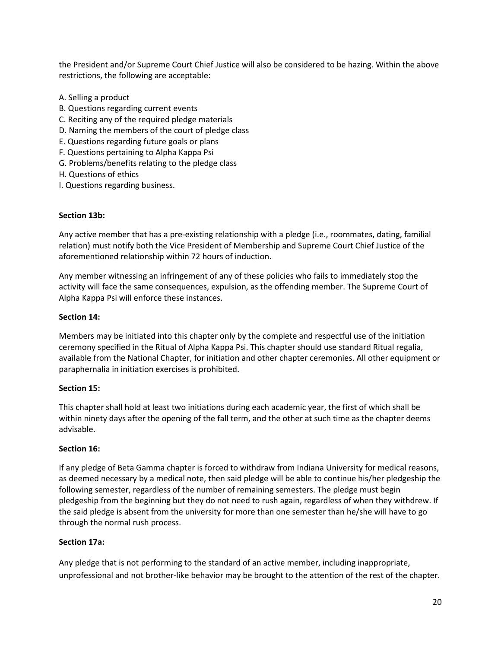the President and/or Supreme Court Chief Justice will also be considered to be hazing. Within the above restrictions, the following are acceptable:

- A. Selling a product
- B. Questions regarding current events
- C. Reciting any of the required pledge materials
- D. Naming the members of the court of pledge class
- E. Questions regarding future goals or plans
- F. Questions pertaining to Alpha Kappa Psi
- G. Problems/benefits relating to the pledge class
- H. Questions of ethics
- I. Questions regarding business.

# **Section 13b:**

Any active member that has a pre-existing relationship with a pledge (i.e., roommates, dating, familial relation) must notify both the Vice President of Membership and Supreme Court Chief Justice of the aforementioned relationship within 72 hours of induction.

Any member witnessing an infringement of any of these policies who fails to immediately stop the activity will face the same consequences, expulsion, as the offending member. The Supreme Court of Alpha Kappa Psi will enforce these instances.

# **Section 14:**

Members may be initiated into this chapter only by the complete and respectful use of the initiation ceremony specified in the Ritual of Alpha Kappa Psi. This chapter should use standard Ritual regalia, available from the National Chapter, for initiation and other chapter ceremonies. All other equipment or paraphernalia in initiation exercises is prohibited.

#### **Section 15:**

This chapter shall hold at least two initiations during each academic year, the first of which shall be within ninety days after the opening of the fall term, and the other at such time as the chapter deems advisable.

#### **Section 16:**

If any pledge of Beta Gamma chapter is forced to withdraw from Indiana University for medical reasons, as deemed necessary by a medical note, then said pledge will be able to continue his/her pledgeship the following semester, regardless of the number of remaining semesters. The pledge must begin pledgeship from the beginning but they do not need to rush again, regardless of when they withdrew. If the said pledge is absent from the university for more than one semester than he/she will have to go through the normal rush process.

# **Section 17a:**

Any pledge that is not performing to the standard of an active member, including inappropriate, unprofessional and not brother-like behavior may be brought to the attention of the rest of the chapter.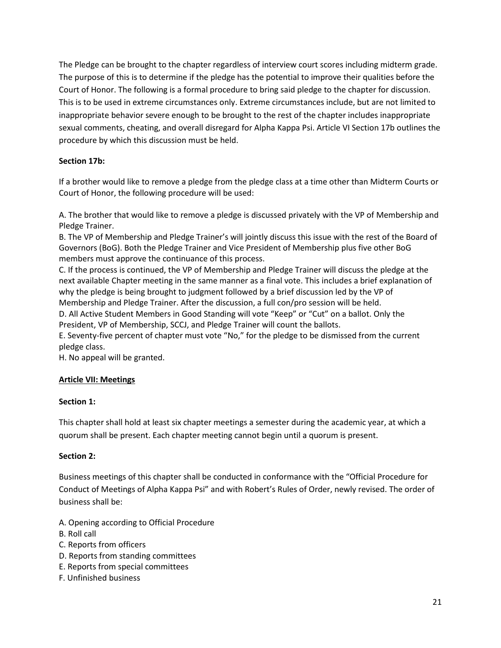The Pledge can be brought to the chapter regardless of interview court scores including midterm grade. The purpose of this is to determine if the pledge has the potential to improve their qualities before the Court of Honor. The following is a formal procedure to bring said pledge to the chapter for discussion. This is to be used in extreme circumstances only. Extreme circumstances include, but are not limited to inappropriate behavior severe enough to be brought to the rest of the chapter includes inappropriate sexual comments, cheating, and overall disregard for Alpha Kappa Psi. Article VI Section 17b outlines the procedure by which this discussion must be held.

# **Section 17b:**

If a brother would like to remove a pledge from the pledge class at a time other than Midterm Courts or Court of Honor, the following procedure will be used:

A. The brother that would like to remove a pledge is discussed privately with the VP of Membership and Pledge Trainer.

B. The VP of Membership and Pledge Trainer's will jointly discuss this issue with the rest of the Board of Governors (BoG). Both the Pledge Trainer and Vice President of Membership plus five other BoG members must approve the continuance of this process.

C. If the process is continued, the VP of Membership and Pledge Trainer will discuss the pledge at the next available Chapter meeting in the same manner as a final vote. This includes a brief explanation of why the pledge is being brought to judgment followed by a brief discussion led by the VP of Membership and Pledge Trainer. After the discussion, a full con/pro session will be held.

D. All Active Student Members in Good Standing will vote "Keep" or "Cut" on a ballot. Only the President, VP of Membership, SCCJ, and Pledge Trainer will count the ballots.

E. Seventy-five percent of chapter must vote "No," for the pledge to be dismissed from the current pledge class.

H. No appeal will be granted.

# **Article VII: Meetings**

# **Section 1:**

This chapter shall hold at least six chapter meetings a semester during the academic year, at which a quorum shall be present. Each chapter meeting cannot begin until a quorum is present.

# **Section 2:**

Business meetings of this chapter shall be conducted in conformance with the "Official Procedure for Conduct of Meetings of Alpha Kappa Psi" and with Robert's Rules of Order, newly revised. The order of business shall be:

- A. Opening according to Official Procedure
- B. Roll call
- C. Reports from officers
- D. Reports from standing committees
- E. Reports from special committees
- F. Unfinished business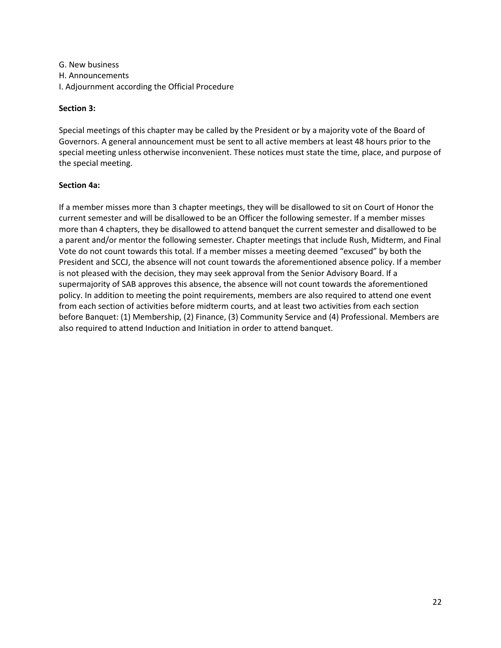G. New business H. Announcements I. Adjournment according the Official Procedure

# **Section 3:**

Special meetings of this chapter may be called by the President or by a majority vote of the Board of Governors. A general announcement must be sent to all active members at least 48 hours prior to the special meeting unless otherwise inconvenient. These notices must state the time, place, and purpose of the special meeting.

# **Section 4a:**

If a member misses more than 3 chapter meetings, they will be disallowed to sit on Court of Honor the current semester and will be disallowed to be an Officer the following semester. If a member misses more than 4 chapters, they be disallowed to attend banquet the current semester and disallowed to be a parent and/or mentor the following semester. Chapter meetings that include Rush, Midterm, and Final Vote do not count towards this total. If a member misses a meeting deemed "excused" by both the President and SCCJ, the absence will not count towards the aforementioned absence policy. If a member is not pleased with the decision, they may seek approval from the Senior Advisory Board. If a supermajority of SAB approves this absence, the absence will not count towards the aforementioned policy. In addition to meeting the point requirements, members are also required to attend one event from each section of activities before midterm courts, and at least two activities from each section before Banquet: (1) Membership, (2) Finance, (3) Community Service and (4) Professional. Members are also required to attend Induction and Initiation in order to attend banquet.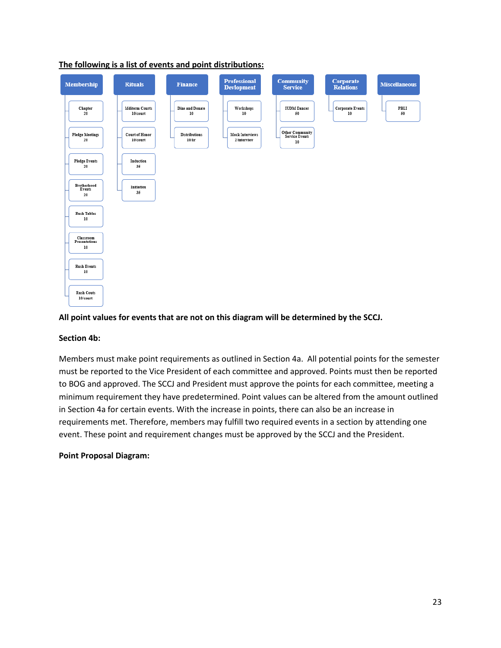

# **The following is a list of events and point distributions:**

#### **All point values for events that are not on this diagram will be determined by the SCCJ.**

#### **Section 4b:**

Members must make point requirements as outlined in Section 4a. All potential points for the semester must be reported to the Vice President of each committee and approved. Points must then be reported to BOG and approved. The SCCJ and President must approve the points for each committee, meeting a minimum requirement they have predetermined. Point values can be altered from the amount outlined in Section 4a for certain events. With the increase in points, there can also be an increase in requirements met. Therefore, members may fulfill two required events in a section by attending one event. These point and requirement changes must be approved by the SCCJ and the President.

#### **Point Proposal Diagram:**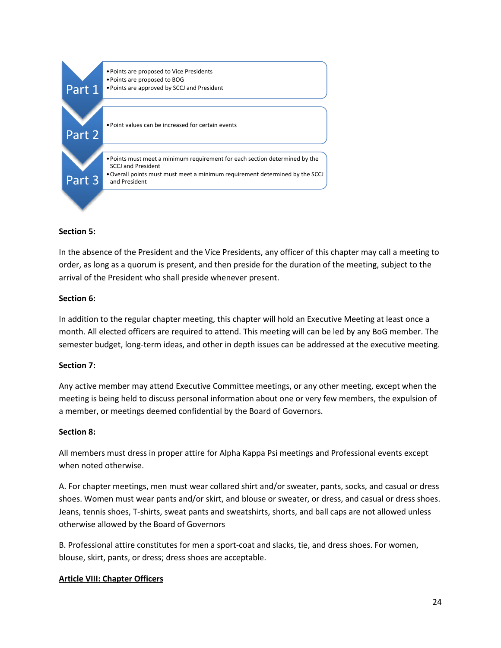

#### **Section 5:**

In the absence of the President and the Vice Presidents, any officer of this chapter may call a meeting to order, as long as a quorum is present, and then preside for the duration of the meeting, subject to the arrival of the President who shall preside whenever present.

#### **Section 6:**

In addition to the regular chapter meeting, this chapter will hold an Executive Meeting at least once a month. All elected officers are required to attend. This meeting will can be led by any BoG member. The semester budget, long-term ideas, and other in depth issues can be addressed at the executive meeting.

#### **Section 7:**

Any active member may attend Executive Committee meetings, or any other meeting, except when the meeting is being held to discuss personal information about one or very few members, the expulsion of a member, or meetings deemed confidential by the Board of Governors.

#### **Section 8:**

All members must dress in proper attire for Alpha Kappa Psi meetings and Professional events except when noted otherwise.

A. For chapter meetings, men must wear collared shirt and/or sweater, pants, socks, and casual or dress shoes. Women must wear pants and/or skirt, and blouse or sweater, or dress, and casual or dress shoes. Jeans, tennis shoes, T-shirts, sweat pants and sweatshirts, shorts, and ball caps are not allowed unless otherwise allowed by the Board of Governors

B. Professional attire constitutes for men a sport-coat and slacks, tie, and dress shoes. For women, blouse, skirt, pants, or dress; dress shoes are acceptable.

#### **Article VIII: Chapter Officers**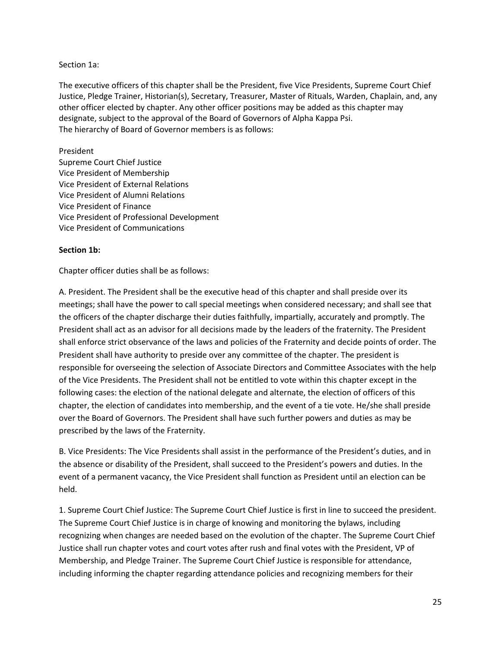#### Section 1a:

The executive officers of this chapter shall be the President, five Vice Presidents, Supreme Court Chief Justice, Pledge Trainer, Historian(s), Secretary, Treasurer, Master of Rituals, Warden, Chaplain, and, any other officer elected by chapter. Any other officer positions may be added as this chapter may designate, subject to the approval of the Board of Governors of Alpha Kappa Psi. The hierarchy of Board of Governor members is as follows:

#### President

Supreme Court Chief Justice Vice President of Membership Vice President of External Relations Vice President of Alumni Relations Vice President of Finance Vice President of Professional Development Vice President of Communications

#### **Section 1b:**

Chapter officer duties shall be as follows:

A. President. The President shall be the executive head of this chapter and shall preside over its meetings; shall have the power to call special meetings when considered necessary; and shall see that the officers of the chapter discharge their duties faithfully, impartially, accurately and promptly. The President shall act as an advisor for all decisions made by the leaders of the fraternity. The President shall enforce strict observance of the laws and policies of the Fraternity and decide points of order. The President shall have authority to preside over any committee of the chapter. The president is responsible for overseeing the selection of Associate Directors and Committee Associates with the help of the Vice Presidents. The President shall not be entitled to vote within this chapter except in the following cases: the election of the national delegate and alternate, the election of officers of this chapter, the election of candidates into membership, and the event of a tie vote. He/she shall preside over the Board of Governors. The President shall have such further powers and duties as may be prescribed by the laws of the Fraternity.

B. Vice Presidents: The Vice Presidents shall assist in the performance of the President's duties, and in the absence or disability of the President, shall succeed to the President's powers and duties. In the event of a permanent vacancy, the Vice President shall function as President until an election can be held.

1. Supreme Court Chief Justice: The Supreme Court Chief Justice is first in line to succeed the president. The Supreme Court Chief Justice is in charge of knowing and monitoring the bylaws, including recognizing when changes are needed based on the evolution of the chapter. The Supreme Court Chief Justice shall run chapter votes and court votes after rush and final votes with the President, VP of Membership, and Pledge Trainer. The Supreme Court Chief Justice is responsible for attendance, including informing the chapter regarding attendance policies and recognizing members for their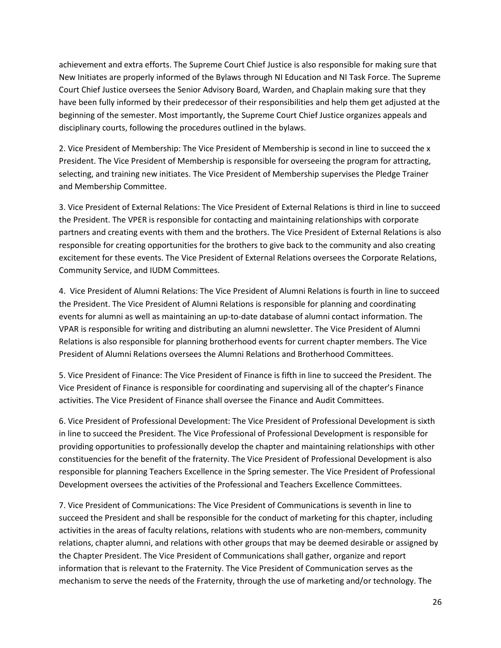achievement and extra efforts. The Supreme Court Chief Justice is also responsible for making sure that New Initiates are properly informed of the Bylaws through NI Education and NI Task Force. The Supreme Court Chief Justice oversees the Senior Advisory Board, Warden, and Chaplain making sure that they have been fully informed by their predecessor of their responsibilities and help them get adjusted at the beginning of the semester. Most importantly, the Supreme Court Chief Justice organizes appeals and disciplinary courts, following the procedures outlined in the bylaws.

2. Vice President of Membership: The Vice President of Membership is second in line to succeed the x President. The Vice President of Membership is responsible for overseeing the program for attracting, selecting, and training new initiates. The Vice President of Membership supervises the Pledge Trainer and Membership Committee.

3. Vice President of External Relations: The Vice President of External Relations is third in line to succeed the President. The VPER is responsible for contacting and maintaining relationships with corporate partners and creating events with them and the brothers. The Vice President of External Relations is also responsible for creating opportunities for the brothers to give back to the community and also creating excitement for these events. The Vice President of External Relations oversees the Corporate Relations, Community Service, and IUDM Committees.

4. Vice President of Alumni Relations: The Vice President of Alumni Relations is fourth in line to succeed the President. The Vice President of Alumni Relations is responsible for planning and coordinating events for alumni as well as maintaining an up-to-date database of alumni contact information. The VPAR is responsible for writing and distributing an alumni newsletter. The Vice President of Alumni Relations is also responsible for planning brotherhood events for current chapter members. The Vice President of Alumni Relations oversees the Alumni Relations and Brotherhood Committees.

5. Vice President of Finance: The Vice President of Finance is fifth in line to succeed the President. The Vice President of Finance is responsible for coordinating and supervising all of the chapter's Finance activities. The Vice President of Finance shall oversee the Finance and Audit Committees.

6. Vice President of Professional Development: The Vice President of Professional Development is sixth in line to succeed the President. The Vice Professional of Professional Development is responsible for providing opportunities to professionally develop the chapter and maintaining relationships with other constituencies for the benefit of the fraternity. The Vice President of Professional Development is also responsible for planning Teachers Excellence in the Spring semester. The Vice President of Professional Development oversees the activities of the Professional and Teachers Excellence Committees.

7. Vice President of Communications: The Vice President of Communications is seventh in line to succeed the President and shall be responsible for the conduct of marketing for this chapter, including activities in the areas of faculty relations, relations with students who are non-members, community relations, chapter alumni, and relations with other groups that may be deemed desirable or assigned by the Chapter President. The Vice President of Communications shall gather, organize and report information that is relevant to the Fraternity. The Vice President of Communication serves as the mechanism to serve the needs of the Fraternity, through the use of marketing and/or technology. The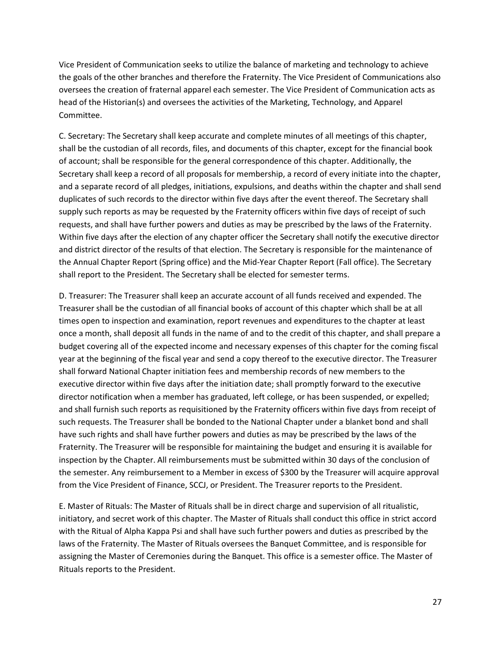Vice President of Communication seeks to utilize the balance of marketing and technology to achieve the goals of the other branches and therefore the Fraternity. The Vice President of Communications also oversees the creation of fraternal apparel each semester. The Vice President of Communication acts as head of the Historian(s) and oversees the activities of the Marketing, Technology, and Apparel Committee.

C. Secretary: The Secretary shall keep accurate and complete minutes of all meetings of this chapter, shall be the custodian of all records, files, and documents of this chapter, except for the financial book of account; shall be responsible for the general correspondence of this chapter. Additionally, the Secretary shall keep a record of all proposals for membership, a record of every initiate into the chapter, and a separate record of all pledges, initiations, expulsions, and deaths within the chapter and shall send duplicates of such records to the director within five days after the event thereof. The Secretary shall supply such reports as may be requested by the Fraternity officers within five days of receipt of such requests, and shall have further powers and duties as may be prescribed by the laws of the Fraternity. Within five days after the election of any chapter officer the Secretary shall notify the executive director and district director of the results of that election. The Secretary is responsible for the maintenance of the Annual Chapter Report (Spring office) and the Mid-Year Chapter Report (Fall office). The Secretary shall report to the President. The Secretary shall be elected for semester terms.

D. Treasurer: The Treasurer shall keep an accurate account of all funds received and expended. The Treasurer shall be the custodian of all financial books of account of this chapter which shall be at all times open to inspection and examination, report revenues and expenditures to the chapter at least once a month, shall deposit all funds in the name of and to the credit of this chapter, and shall prepare a budget covering all of the expected income and necessary expenses of this chapter for the coming fiscal year at the beginning of the fiscal year and send a copy thereof to the executive director. The Treasurer shall forward National Chapter initiation fees and membership records of new members to the executive director within five days after the initiation date; shall promptly forward to the executive director notification when a member has graduated, left college, or has been suspended, or expelled; and shall furnish such reports as requisitioned by the Fraternity officers within five days from receipt of such requests. The Treasurer shall be bonded to the National Chapter under a blanket bond and shall have such rights and shall have further powers and duties as may be prescribed by the laws of the Fraternity. The Treasurer will be responsible for maintaining the budget and ensuring it is available for inspection by the Chapter. All reimbursements must be submitted within 30 days of the conclusion of the semester. Any reimbursement to a Member in excess of \$300 by the Treasurer will acquire approval from the Vice President of Finance, SCCJ, or President. The Treasurer reports to the President.

E. Master of Rituals: The Master of Rituals shall be in direct charge and supervision of all ritualistic, initiatory, and secret work of this chapter. The Master of Rituals shall conduct this office in strict accord with the Ritual of Alpha Kappa Psi and shall have such further powers and duties as prescribed by the laws of the Fraternity. The Master of Rituals oversees the Banquet Committee, and is responsible for assigning the Master of Ceremonies during the Banquet. This office is a semester office. The Master of Rituals reports to the President.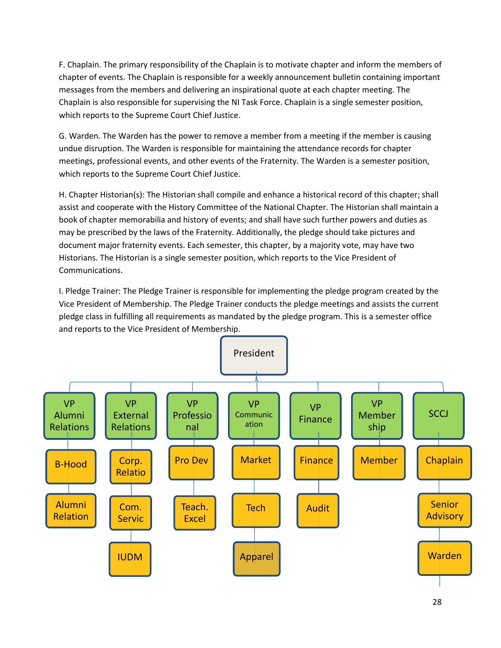F. Chaplain. The primary responsibility of the Chaplain is to motivate chapter and inform the members of chapter of events. The Chaplain is responsible for a weekly announcement bulletin containing important messages from the members and delivering an inspirational quote at each chapter meeting. The Chaplain is also responsible for supervising the NI Task Force. Chaplain is a single semester position, which reports to the Supreme Court Chief Justice.

G. Warden. The Warden has the power to remove a member from a meeting if the member is causing undue disruption. The Warden is responsible for maintaining the attendance records for chapter meetings, professional events, and other events of the Fraternity. The Warden is a semester position, which reports to the Supreme Court Chief Justice.

H. Chapter Historian(s): The Historian shall compile and enhance a historical record of this chapter; shall assist and cooperate with the History Committee of the National Chapter. The Historian shall maintain a book of chapter memorabilia and history of events; and shall have such further powers and duties as may be prescribed by the laws of the Fraternity. Additionally, the pledge should take pictures and document major fraternity events. Each semester, this chapter, by a majority vote, may have two Historians. The Historian is a single semester position, which reports to the Vice President of Communications.

I. Pledge Trainer: The Pledge Trainer is responsible for implementing the pledge program created by the Vice President of Membership. The Pledge Trainer conducts the pledge meetings and assists the current pledge class in fulfilling all requirements as mandated by the pledge program. This is a semester office and reports to the Vice President of Membership.

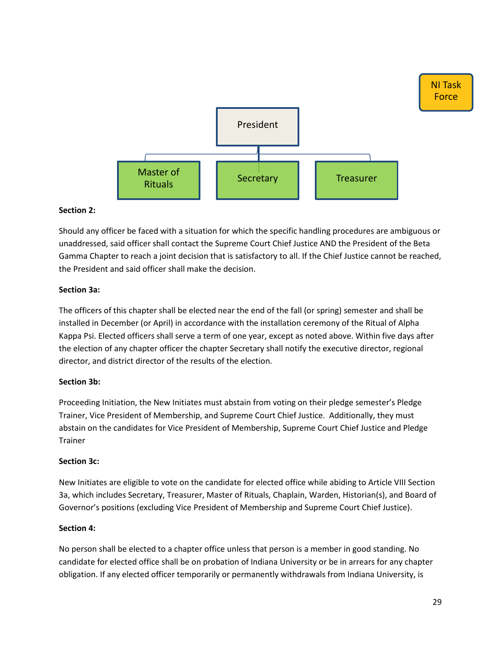

#### **Section 2:**

Should any officer be faced with a situation for which the specific handling procedures are ambiguous or unaddressed, said officer shall contact the Supreme Court Chief Justice AND the President of the Beta Gamma Chapter to reach a joint decision that is satisfactory to all. If the Chief Justice cannot be reached, the President and said officer shall make the decision.

# **Section 3a:**

The officers of this chapter shall be elected near the end of the fall (or spring) semester and shall be installed in December (or April) in accordance with the installation ceremony of the Ritual of Alpha Kappa Psi. Elected officers shall serve a term of one year, except as noted above. Within five days after the election of any chapter officer the chapter Secretary shall notify the executive director, regional director, and district director of the results of the election.

#### **Section 3b:**

Proceeding Initiation, the New Initiates must abstain from voting on their pledge semester's Pledge Trainer, Vice President of Membership, and Supreme Court Chief Justice. Additionally, they must abstain on the candidates for Vice President of Membership, Supreme Court Chief Justice and Pledge Trainer

#### **Section 3c:**

New Initiates are eligible to vote on the candidate for elected office while abiding to Article VIII Section 3a, which includes Secretary, Treasurer, Master of Rituals, Chaplain, Warden, Historian(s), and Board of Governor's positions (excluding Vice President of Membership and Supreme Court Chief Justice).

#### **Section 4:**

No person shall be elected to a chapter office unless that person is a member in good standing. No candidate for elected office shall be on probation of Indiana University or be in arrears for any chapter obligation. If any elected officer temporarily or permanently withdrawals from Indiana University, is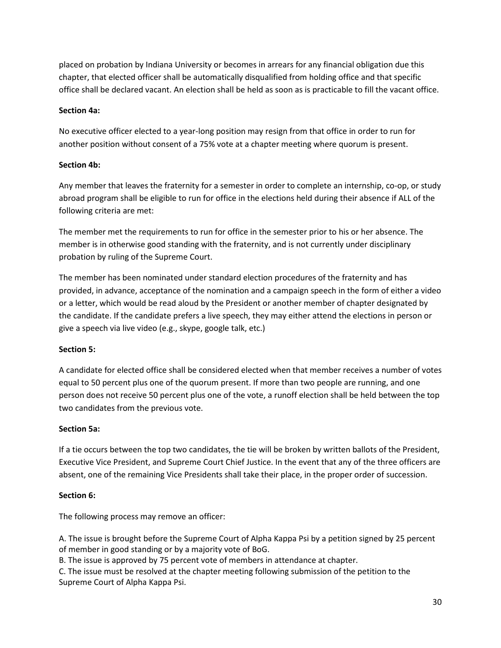placed on probation by Indiana University or becomes in arrears for any financial obligation due this chapter, that elected officer shall be automatically disqualified from holding office and that specific office shall be declared vacant. An election shall be held as soon as is practicable to fill the vacant office.

# **Section 4a:**

No executive officer elected to a year-long position may resign from that office in order to run for another position without consent of a 75% vote at a chapter meeting where quorum is present.

# **Section 4b:**

Any member that leaves the fraternity for a semester in order to complete an internship, co-op, or study abroad program shall be eligible to run for office in the elections held during their absence if ALL of the following criteria are met:

The member met the requirements to run for office in the semester prior to his or her absence. The member is in otherwise good standing with the fraternity, and is not currently under disciplinary probation by ruling of the Supreme Court.

The member has been nominated under standard election procedures of the fraternity and has provided, in advance, acceptance of the nomination and a campaign speech in the form of either a video or a letter, which would be read aloud by the President or another member of chapter designated by the candidate. If the candidate prefers a live speech, they may either attend the elections in person or give a speech via live video (e.g., skype, google talk, etc.)

# **Section 5:**

A candidate for elected office shall be considered elected when that member receives a number of votes equal to 50 percent plus one of the quorum present. If more than two people are running, and one person does not receive 50 percent plus one of the vote, a runoff election shall be held between the top two candidates from the previous vote.

#### **Section 5a:**

If a tie occurs between the top two candidates, the tie will be broken by written ballots of the President, Executive Vice President, and Supreme Court Chief Justice. In the event that any of the three officers are absent, one of the remaining Vice Presidents shall take their place, in the proper order of succession.

#### **Section 6:**

The following process may remove an officer:

A. The issue is brought before the Supreme Court of Alpha Kappa Psi by a petition signed by 25 percent of member in good standing or by a majority vote of BoG.

B. The issue is approved by 75 percent vote of members in attendance at chapter.

C. The issue must be resolved at the chapter meeting following submission of the petition to the Supreme Court of Alpha Kappa Psi.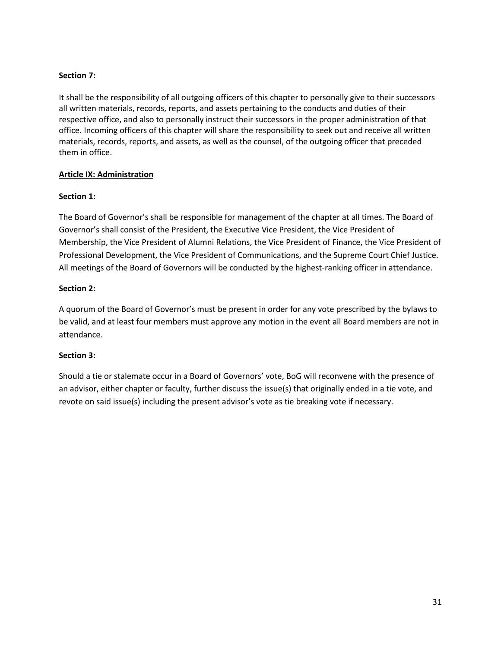# **Section 7:**

It shall be the responsibility of all outgoing officers of this chapter to personally give to their successors all written materials, records, reports, and assets pertaining to the conducts and duties of their respective office, and also to personally instruct their successors in the proper administration of that office. Incoming officers of this chapter will share the responsibility to seek out and receive all written materials, records, reports, and assets, as well as the counsel, of the outgoing officer that preceded them in office.

# **Article IX: Administration**

# **Section 1:**

The Board of Governor's shall be responsible for management of the chapter at all times. The Board of Governor's shall consist of the President, the Executive Vice President, the Vice President of Membership, the Vice President of Alumni Relations, the Vice President of Finance, the Vice President of Professional Development, the Vice President of Communications, and the Supreme Court Chief Justice. All meetings of the Board of Governors will be conducted by the highest-ranking officer in attendance.

# **Section 2:**

A quorum of the Board of Governor's must be present in order for any vote prescribed by the bylaws to be valid, and at least four members must approve any motion in the event all Board members are not in attendance.

# **Section 3:**

Should a tie or stalemate occur in a Board of Governors' vote, BoG will reconvene with the presence of an advisor, either chapter or faculty, further discuss the issue(s) that originally ended in a tie vote, and revote on said issue(s) including the present advisor's vote as tie breaking vote if necessary.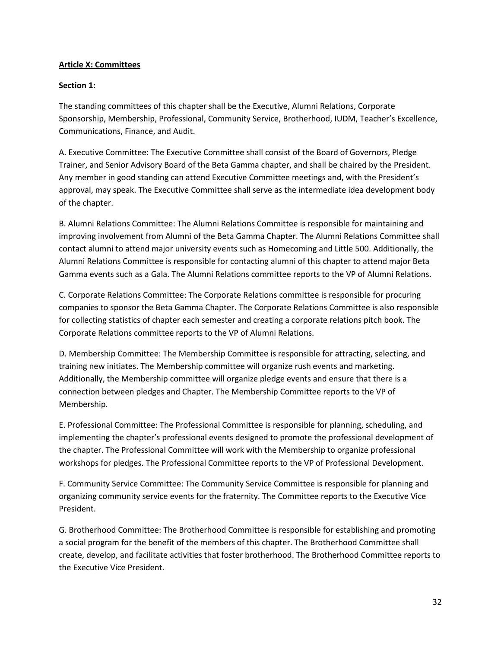#### **Article X: Committees**

# **Section 1:**

The standing committees of this chapter shall be the Executive, Alumni Relations, Corporate Sponsorship, Membership, Professional, Community Service, Brotherhood, IUDM, Teacher's Excellence, Communications, Finance, and Audit.

A. Executive Committee: The Executive Committee shall consist of the Board of Governors, Pledge Trainer, and Senior Advisory Board of the Beta Gamma chapter, and shall be chaired by the President. Any member in good standing can attend Executive Committee meetings and, with the President's approval, may speak. The Executive Committee shall serve as the intermediate idea development body of the chapter.

B. Alumni Relations Committee: The Alumni Relations Committee is responsible for maintaining and improving involvement from Alumni of the Beta Gamma Chapter. The Alumni Relations Committee shall contact alumni to attend major university events such as Homecoming and Little 500. Additionally, the Alumni Relations Committee is responsible for contacting alumni of this chapter to attend major Beta Gamma events such as a Gala. The Alumni Relations committee reports to the VP of Alumni Relations.

C. Corporate Relations Committee: The Corporate Relations committee is responsible for procuring companies to sponsor the Beta Gamma Chapter. The Corporate Relations Committee is also responsible for collecting statistics of chapter each semester and creating a corporate relations pitch book. The Corporate Relations committee reports to the VP of Alumni Relations.

D. Membership Committee: The Membership Committee is responsible for attracting, selecting, and training new initiates. The Membership committee will organize rush events and marketing. Additionally, the Membership committee will organize pledge events and ensure that there is a connection between pledges and Chapter. The Membership Committee reports to the VP of Membership.

E. Professional Committee: The Professional Committee is responsible for planning, scheduling, and implementing the chapter's professional events designed to promote the professional development of the chapter. The Professional Committee will work with the Membership to organize professional workshops for pledges. The Professional Committee reports to the VP of Professional Development.

F. Community Service Committee: The Community Service Committee is responsible for planning and organizing community service events for the fraternity. The Committee reports to the Executive Vice President.

G. Brotherhood Committee: The Brotherhood Committee is responsible for establishing and promoting a social program for the benefit of the members of this chapter. The Brotherhood Committee shall create, develop, and facilitate activities that foster brotherhood. The Brotherhood Committee reports to the Executive Vice President.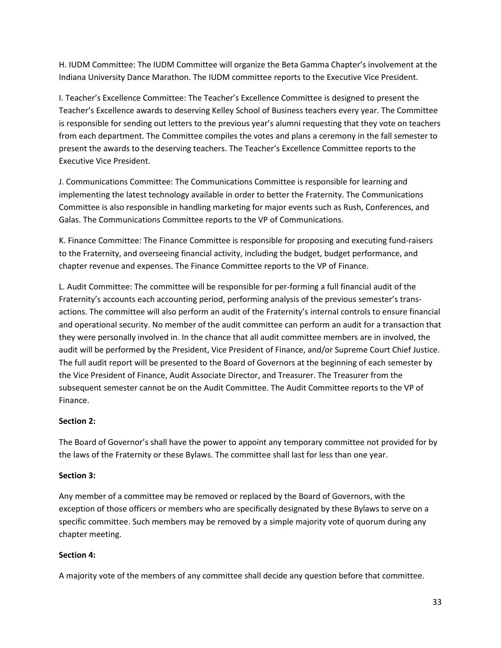H. IUDM Committee: The IUDM Committee will organize the Beta Gamma Chapter's involvement at the Indiana University Dance Marathon. The IUDM committee reports to the Executive Vice President.

I. Teacher's Excellence Committee: The Teacher's Excellence Committee is designed to present the Teacher's Excellence awards to deserving Kelley School of Business teachers every year. The Committee is responsible for sending out letters to the previous year's alumni requesting that they vote on teachers from each department. The Committee compiles the votes and plans a ceremony in the fall semester to present the awards to the deserving teachers. The Teacher's Excellence Committee reports to the Executive Vice President.

J. Communications Committee: The Communications Committee is responsible for learning and implementing the latest technology available in order to better the Fraternity. The Communications Committee is also responsible in handling marketing for major events such as Rush, Conferences, and Galas. The Communications Committee reports to the VP of Communications.

K. Finance Committee: The Finance Committee is responsible for proposing and executing fund-raisers to the Fraternity, and overseeing financial activity, including the budget, budget performance, and chapter revenue and expenses. The Finance Committee reports to the VP of Finance.

L. Audit Committee: The committee will be responsible for per-forming a full financial audit of the Fraternity's accounts each accounting period, performing analysis of the previous semester's transactions. The committee will also perform an audit of the Fraternity's internal controls to ensure financial and operational security. No member of the audit committee can perform an audit for a transaction that they were personally involved in. In the chance that all audit committee members are in involved, the audit will be performed by the President, Vice President of Finance, and/or Supreme Court Chief Justice. The full audit report will be presented to the Board of Governors at the beginning of each semester by the Vice President of Finance, Audit Associate Director, and Treasurer. The Treasurer from the subsequent semester cannot be on the Audit Committee. The Audit Committee reports to the VP of Finance.

# **Section 2:**

The Board of Governor's shall have the power to appoint any temporary committee not provided for by the laws of the Fraternity or these Bylaws. The committee shall last for less than one year.

#### **Section 3:**

Any member of a committee may be removed or replaced by the Board of Governors, with the exception of those officers or members who are specifically designated by these Bylaws to serve on a specific committee. Such members may be removed by a simple majority vote of quorum during any chapter meeting.

# **Section 4:**

A majority vote of the members of any committee shall decide any question before that committee.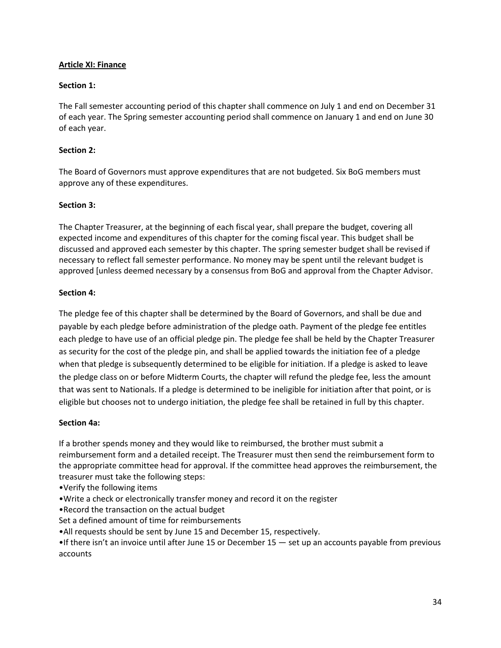# **Article XI: Finance**

# **Section 1:**

The Fall semester accounting period of this chapter shall commence on July 1 and end on December 31 of each year. The Spring semester accounting period shall commence on January 1 and end on June 30 of each year.

#### **Section 2:**

The Board of Governors must approve expenditures that are not budgeted. Six BoG members must approve any of these expenditures.

# **Section 3:**

The Chapter Treasurer, at the beginning of each fiscal year, shall prepare the budget, covering all expected income and expenditures of this chapter for the coming fiscal year. This budget shall be discussed and approved each semester by this chapter. The spring semester budget shall be revised if necessary to reflect fall semester performance. No money may be spent until the relevant budget is approved [unless deemed necessary by a consensus from BoG and approval from the Chapter Advisor.

#### **Section 4:**

The pledge fee of this chapter shall be determined by the Board of Governors, and shall be due and payable by each pledge before administration of the pledge oath. Payment of the pledge fee entitles each pledge to have use of an official pledge pin. The pledge fee shall be held by the Chapter Treasurer as security for the cost of the pledge pin, and shall be applied towards the initiation fee of a pledge when that pledge is subsequently determined to be eligible for initiation. If a pledge is asked to leave the pledge class on or before Midterm Courts, the chapter will refund the pledge fee, less the amount that was sent to Nationals. If a pledge is determined to be ineligible for initiation after that point, or is eligible but chooses not to undergo initiation, the pledge fee shall be retained in full by this chapter.

#### **Section 4a:**

If a brother spends money and they would like to reimbursed, the brother must submit a reimbursement form and a detailed receipt. The Treasurer must then send the reimbursement form to the appropriate committee head for approval. If the committee head approves the reimbursement, the treasurer must take the following steps:

- •Verify the following items
- •Write a check or electronically transfer money and record it on the register
- •Record the transaction on the actual budget
- Set a defined amount of time for reimbursements
- •All requests should be sent by June 15 and December 15, respectively.

•If there isn't an invoice until after June 15 or December 15 — set up an accounts payable from previous accounts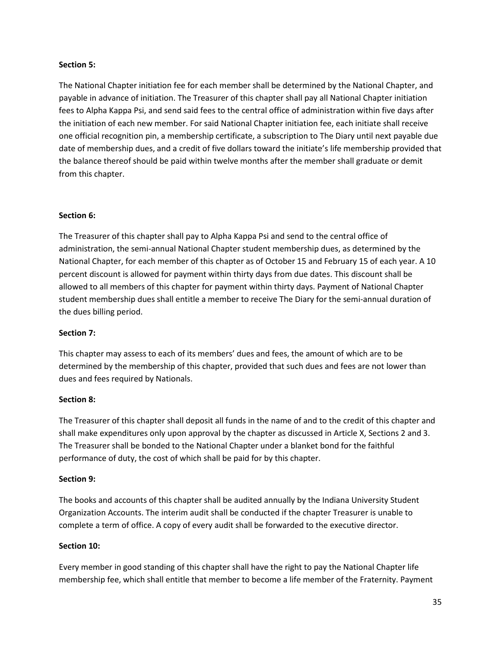#### **Section 5:**

The National Chapter initiation fee for each member shall be determined by the National Chapter, and payable in advance of initiation. The Treasurer of this chapter shall pay all National Chapter initiation fees to Alpha Kappa Psi, and send said fees to the central office of administration within five days after the initiation of each new member. For said National Chapter initiation fee, each initiate shall receive one official recognition pin, a membership certificate, a subscription to The Diary until next payable due date of membership dues, and a credit of five dollars toward the initiate's life membership provided that the balance thereof should be paid within twelve months after the member shall graduate or demit from this chapter.

# **Section 6:**

The Treasurer of this chapter shall pay to Alpha Kappa Psi and send to the central office of administration, the semi-annual National Chapter student membership dues, as determined by the National Chapter, for each member of this chapter as of October 15 and February 15 of each year. A 10 percent discount is allowed for payment within thirty days from due dates. This discount shall be allowed to all members of this chapter for payment within thirty days. Payment of National Chapter student membership dues shall entitle a member to receive The Diary for the semi-annual duration of the dues billing period.

# **Section 7:**

This chapter may assess to each of its members' dues and fees, the amount of which are to be determined by the membership of this chapter, provided that such dues and fees are not lower than dues and fees required by Nationals.

#### **Section 8:**

The Treasurer of this chapter shall deposit all funds in the name of and to the credit of this chapter and shall make expenditures only upon approval by the chapter as discussed in Article X, Sections 2 and 3. The Treasurer shall be bonded to the National Chapter under a blanket bond for the faithful performance of duty, the cost of which shall be paid for by this chapter.

#### **Section 9:**

The books and accounts of this chapter shall be audited annually by the Indiana University Student Organization Accounts. The interim audit shall be conducted if the chapter Treasurer is unable to complete a term of office. A copy of every audit shall be forwarded to the executive director.

#### **Section 10:**

Every member in good standing of this chapter shall have the right to pay the National Chapter life membership fee, which shall entitle that member to become a life member of the Fraternity. Payment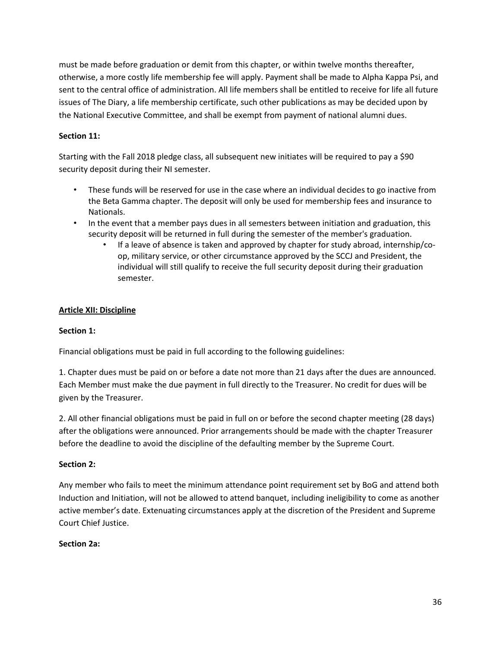must be made before graduation or demit from this chapter, or within twelve months thereafter, otherwise, a more costly life membership fee will apply. Payment shall be made to Alpha Kappa Psi, and sent to the central office of administration. All life members shall be entitled to receive for life all future issues of The Diary, a life membership certificate, such other publications as may be decided upon by the National Executive Committee, and shall be exempt from payment of national alumni dues.

# **Section 11:**

Starting with the Fall 2018 pledge class, all subsequent new initiates will be required to pay a \$90 security deposit during their NI semester.

- These funds will be reserved for use in the case where an individual decides to go inactive from the Beta Gamma chapter. The deposit will only be used for membership fees and insurance to Nationals.
- In the event that a member pays dues in all semesters between initiation and graduation, this security deposit will be returned in full during the semester of the member's graduation.
	- If a leave of absence is taken and approved by chapter for study abroad, internship/coop, military service, or other circumstance approved by the SCCJ and President, the individual will still qualify to receive the full security deposit during their graduation semester.

# **Article XII: Discipline**

# **Section 1:**

Financial obligations must be paid in full according to the following guidelines:

1. Chapter dues must be paid on or before a date not more than 21 days after the dues are announced. Each Member must make the due payment in full directly to the Treasurer. No credit for dues will be given by the Treasurer.

2. All other financial obligations must be paid in full on or before the second chapter meeting (28 days) after the obligations were announced. Prior arrangements should be made with the chapter Treasurer before the deadline to avoid the discipline of the defaulting member by the Supreme Court.

#### **Section 2:**

Any member who fails to meet the minimum attendance point requirement set by BoG and attend both Induction and Initiation, will not be allowed to attend banquet, including ineligibility to come as another active member's date. Extenuating circumstances apply at the discretion of the President and Supreme Court Chief Justice.

#### **Section 2a:**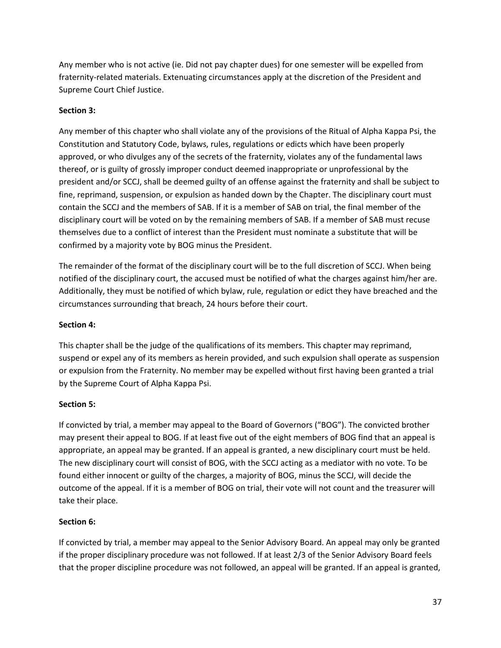Any member who is not active (ie. Did not pay chapter dues) for one semester will be expelled from fraternity-related materials. Extenuating circumstances apply at the discretion of the President and Supreme Court Chief Justice.

# **Section 3:**

Any member of this chapter who shall violate any of the provisions of the Ritual of Alpha Kappa Psi, the Constitution and Statutory Code, bylaws, rules, regulations or edicts which have been properly approved, or who divulges any of the secrets of the fraternity, violates any of the fundamental laws thereof, or is guilty of grossly improper conduct deemed inappropriate or unprofessional by the president and/or SCCJ, shall be deemed guilty of an offense against the fraternity and shall be subject to fine, reprimand, suspension, or expulsion as handed down by the Chapter. The disciplinary court must contain the SCCJ and the members of SAB. If it is a member of SAB on trial, the final member of the disciplinary court will be voted on by the remaining members of SAB. If a member of SAB must recuse themselves due to a conflict of interest than the President must nominate a substitute that will be confirmed by a majority vote by BOG minus the President.

The remainder of the format of the disciplinary court will be to the full discretion of SCCJ. When being notified of the disciplinary court, the accused must be notified of what the charges against him/her are. Additionally, they must be notified of which bylaw, rule, regulation or edict they have breached and the circumstances surrounding that breach, 24 hours before their court.

#### **Section 4:**

This chapter shall be the judge of the qualifications of its members. This chapter may reprimand, suspend or expel any of its members as herein provided, and such expulsion shall operate as suspension or expulsion from the Fraternity. No member may be expelled without first having been granted a trial by the Supreme Court of Alpha Kappa Psi.

#### **Section 5:**

If convicted by trial, a member may appeal to the Board of Governors ("BOG"). The convicted brother may present their appeal to BOG. If at least five out of the eight members of BOG find that an appeal is appropriate, an appeal may be granted. If an appeal is granted, a new disciplinary court must be held. The new disciplinary court will consist of BOG, with the SCCJ acting as a mediator with no vote. To be found either innocent or guilty of the charges, a majority of BOG, minus the SCCJ, will decide the outcome of the appeal. If it is a member of BOG on trial, their vote will not count and the treasurer will take their place.

#### **Section 6:**

If convicted by trial, a member may appeal to the Senior Advisory Board. An appeal may only be granted if the proper disciplinary procedure was not followed. If at least 2/3 of the Senior Advisory Board feels that the proper discipline procedure was not followed, an appeal will be granted. If an appeal is granted,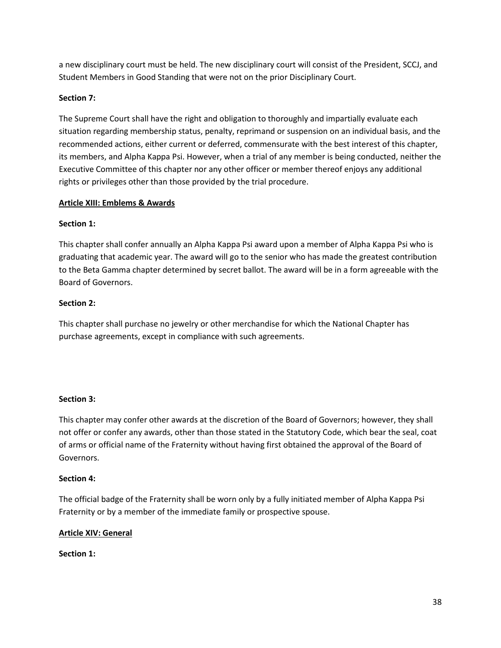a new disciplinary court must be held. The new disciplinary court will consist of the President, SCCJ, and Student Members in Good Standing that were not on the prior Disciplinary Court.

# **Section 7:**

The Supreme Court shall have the right and obligation to thoroughly and impartially evaluate each situation regarding membership status, penalty, reprimand or suspension on an individual basis, and the recommended actions, either current or deferred, commensurate with the best interest of this chapter, its members, and Alpha Kappa Psi. However, when a trial of any member is being conducted, neither the Executive Committee of this chapter nor any other officer or member thereof enjoys any additional rights or privileges other than those provided by the trial procedure.

# **Article XIII: Emblems & Awards**

# **Section 1:**

This chapter shall confer annually an Alpha Kappa Psi award upon a member of Alpha Kappa Psi who is graduating that academic year. The award will go to the senior who has made the greatest contribution to the Beta Gamma chapter determined by secret ballot. The award will be in a form agreeable with the Board of Governors.

# **Section 2:**

This chapter shall purchase no jewelry or other merchandise for which the National Chapter has purchase agreements, except in compliance with such agreements.

#### **Section 3:**

This chapter may confer other awards at the discretion of the Board of Governors; however, they shall not offer or confer any awards, other than those stated in the Statutory Code, which bear the seal, coat of arms or official name of the Fraternity without having first obtained the approval of the Board of Governors.

#### **Section 4:**

The official badge of the Fraternity shall be worn only by a fully initiated member of Alpha Kappa Psi Fraternity or by a member of the immediate family or prospective spouse.

#### **Article XIV: General**

**Section 1:**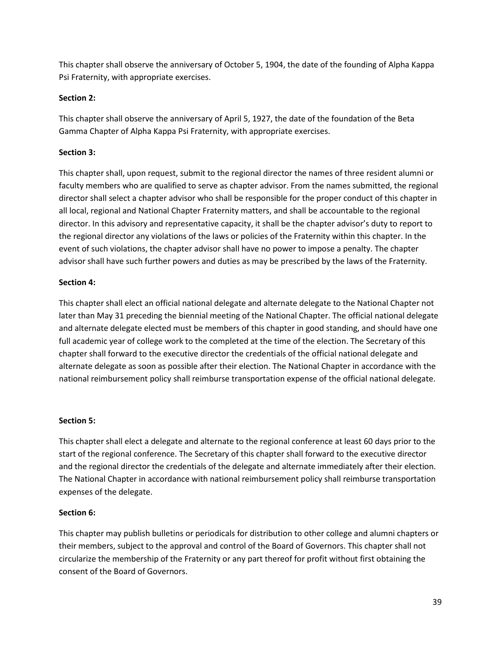This chapter shall observe the anniversary of October 5, 1904, the date of the founding of Alpha Kappa Psi Fraternity, with appropriate exercises.

# **Section 2:**

This chapter shall observe the anniversary of April 5, 1927, the date of the foundation of the Beta Gamma Chapter of Alpha Kappa Psi Fraternity, with appropriate exercises.

# **Section 3:**

This chapter shall, upon request, submit to the regional director the names of three resident alumni or faculty members who are qualified to serve as chapter advisor. From the names submitted, the regional director shall select a chapter advisor who shall be responsible for the proper conduct of this chapter in all local, regional and National Chapter Fraternity matters, and shall be accountable to the regional director. In this advisory and representative capacity, it shall be the chapter advisor's duty to report to the regional director any violations of the laws or policies of the Fraternity within this chapter. In the event of such violations, the chapter advisor shall have no power to impose a penalty. The chapter advisor shall have such further powers and duties as may be prescribed by the laws of the Fraternity.

# **Section 4:**

This chapter shall elect an official national delegate and alternate delegate to the National Chapter not later than May 31 preceding the biennial meeting of the National Chapter. The official national delegate and alternate delegate elected must be members of this chapter in good standing, and should have one full academic year of college work to the completed at the time of the election. The Secretary of this chapter shall forward to the executive director the credentials of the official national delegate and alternate delegate as soon as possible after their election. The National Chapter in accordance with the national reimbursement policy shall reimburse transportation expense of the official national delegate.

#### **Section 5:**

This chapter shall elect a delegate and alternate to the regional conference at least 60 days prior to the start of the regional conference. The Secretary of this chapter shall forward to the executive director and the regional director the credentials of the delegate and alternate immediately after their election. The National Chapter in accordance with national reimbursement policy shall reimburse transportation expenses of the delegate.

# **Section 6:**

This chapter may publish bulletins or periodicals for distribution to other college and alumni chapters or their members, subject to the approval and control of the Board of Governors. This chapter shall not circularize the membership of the Fraternity or any part thereof for profit without first obtaining the consent of the Board of Governors.